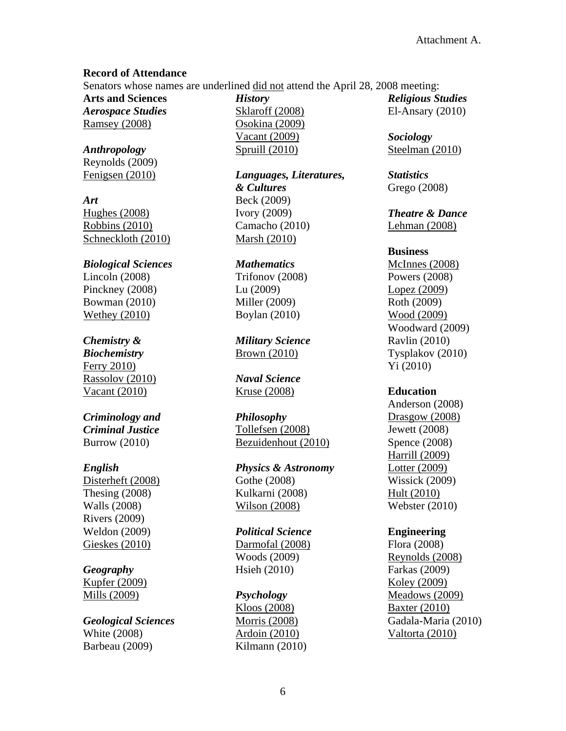## **Record of Attendance**

Senators whose names are underlined did not attend the April 28, 2008 meeting:

**Arts and Sciences**  *Aerospace Studies* Ramsey (2008)

*Anthropology* Reynolds (2009) Fenigsen (2010)

*Art*  Hughes (2008) Robbins (2010) Schneckloth (2010)

*Biological Sciences* Lincoln (2008) Pinckney (2008) Bowman (2010) Wethey (2010)

# *Chemistry &*

*Biochemistry*  Ferry 2010) Rassolov (2010) Vacant (2010)

# *Criminology and Criminal Justice*  Burrow (2010)

*English* 

Disterheft (2008) Thesing (2008) Walls (2008) Rivers (2009) Weldon (2009) Gieskes (2010)

# *Geography*

Kupfer (2009) Mills (2009)

*Geological Sciences*  White (2008) Barbeau (2009)

*History*  Sklaroff (2008) Osokina (2009) Vacant (2009) Spruill (2010)

*Languages, Literatures, & Cultures* Beck (2009) Ivory (2009) Camacho (2010) Marsh (2010)

*Mathematics* 

Trifonov (2008) Lu (2009) Miller (2009) Boylan (2010)

*Military Science*  Brown (2010)

*Naval Science*  Kruse (2008)

*Philosophy* Tollefsen (2008) Bezuidenhout (2010)

*Physics & Astronomy* Gothe (2008) Kulkarni (2008) Wilson (2008)

*Political Science*  Darmofal (2008) Woods (2009) Hsieh (2010)

# *Psychology*

Kloos (2008) Morris (2008) Ardoin (2010) Kilmann (2010) *Religious Studies*  El-Ansary (2010)

*Sociology*  Steelman (2010)

*Statistics* Grego (2008)

*Theatre & Dance*  Lehman (2008)

## **Business**

McInnes (2008) Powers (2008) Lopez (2009) Roth (2009) Wood (2009) Woodward (2009) Ravlin (2010) Tysplakov (2010) Yi (2010)

# **Education**

Anderson (2008) Drasgow (2008) Jewett (2008) Spence (2008) Harrill (2009) Lotter (2009) Wissick (2009) Hult (2010) Webster (2010)

# **Engineering**

Flora (2008) Reynolds (2008) Farkas (2009) Koley (2009) Meadows (2009) Baxter (2010) Gadala-Maria (2010) Valtorta (2010)